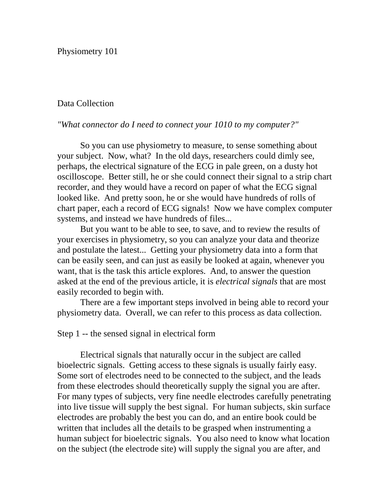Physiometry 101

# Data Collection

### *"What connector do I need to connect your 1010 to my computer?"*

So you can use physiometry to measure, to sense something about your subject. Now, what? In the old days, researchers could dimly see, perhaps, the electrical signature of the ECG in pale green, on a dusty hot oscilloscope. Better still, he or she could connect their signal to a strip chart recorder, and they would have a record on paper of what the ECG signal looked like. And pretty soon, he or she would have hundreds of rolls of chart paper, each a record of ECG signals! Now we have complex computer systems, and instead we have hundreds of files...

But you want to be able to see, to save, and to review the results of your exercises in physiometry, so you can analyze your data and theorize and postulate the latest... Getting your physiometry data into a form that can be easily seen, and can just as easily be looked at again, whenever you want, that is the task this article explores. And, to answer the question asked at the end of the previous article, it is *electrical signals* that are most easily recorded to begin with.

There are a few important steps involved in being able to record your physiometry data. Overall, we can refer to this process as data collection.

### Step 1 -- the sensed signal in electrical form

Electrical signals that naturally occur in the subject are called bioelectric signals. Getting access to these signals is usually fairly easy. Some sort of electrodes need to be connected to the subject, and the leads from these electrodes should theoretically supply the signal you are after. For many types of subjects, very fine needle electrodes carefully penetrating into live tissue will supply the best signal. For human subjects, skin surface electrodes are probably the best you can do, and an entire book could be written that includes all the details to be grasped when instrumenting a human subject for bioelectric signals. You also need to know what location on the subject (the electrode site) will supply the signal you are after, and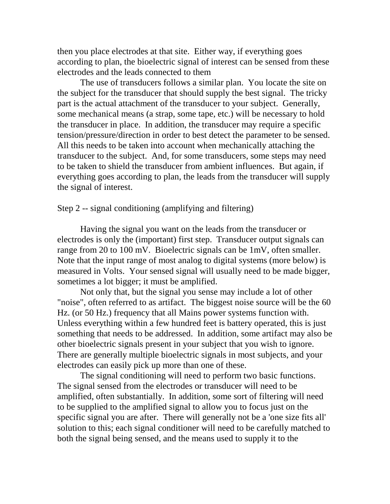then you place electrodes at that site. Either way, if everything goes according to plan, the bioelectric signal of interest can be sensed from these electrodes and the leads connected to them

The use of transducers follows a similar plan. You locate the site on the subject for the transducer that should supply the best signal. The tricky part is the actual attachment of the transducer to your subject. Generally, some mechanical means (a strap, some tape, etc.) will be necessary to hold the transducer in place. In addition, the transducer may require a specific tension/pressure/direction in order to best detect the parameter to be sensed. All this needs to be taken into account when mechanically attaching the transducer to the subject. And, for some transducers, some steps may need to be taken to shield the transducer from ambient influences. But again, if everything goes according to plan, the leads from the transducer will supply the signal of interest.

Step 2 -- signal conditioning (amplifying and filtering)

Having the signal you want on the leads from the transducer or electrodes is only the (important) first step. Transducer output signals can range from 20 to 100 mV. Bioelectric signals can be 1mV, often smaller. Note that the input range of most analog to digital systems (more below) is measured in Volts. Your sensed signal will usually need to be made bigger, sometimes a lot bigger; it must be amplified.

Not only that, but the signal you sense may include a lot of other "noise", often referred to as artifact. The biggest noise source will be the 60 Hz. (or 50 Hz.) frequency that all Mains power systems function with. Unless everything within a few hundred feet is battery operated, this is just something that needs to be addressed. In addition, some artifact may also be other bioelectric signals present in your subject that you wish to ignore. There are generally multiple bioelectric signals in most subjects, and your electrodes can easily pick up more than one of these.

The signal conditioning will need to perform two basic functions. The signal sensed from the electrodes or transducer will need to be amplified, often substantially. In addition, some sort of filtering will need to be supplied to the amplified signal to allow you to focus just on the specific signal you are after. There will generally not be a 'one size fits all' solution to this; each signal conditioner will need to be carefully matched to both the signal being sensed, and the means used to supply it to the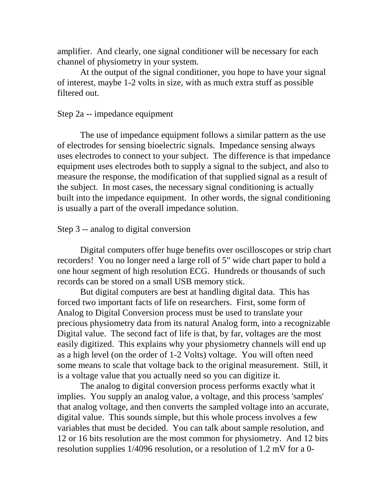amplifier. And clearly, one signal conditioner will be necessary for each channel of physiometry in your system.

At the output of the signal conditioner, you hope to have your signal of interest, maybe 1-2 volts in size, with as much extra stuff as possible filtered out.

### Step 2a -- impedance equipment

The use of impedance equipment follows a similar pattern as the use of electrodes for sensing bioelectric signals. Impedance sensing always uses electrodes to connect to your subject. The difference is that impedance equipment uses electrodes both to supply a signal to the subject, and also to measure the response, the modification of that supplied signal as a result of the subject. In most cases, the necessary signal conditioning is actually built into the impedance equipment. In other words, the signal conditioning is usually a part of the overall impedance solution.

# Step 3 -- analog to digital conversion

Digital computers offer huge benefits over oscilloscopes or strip chart recorders! You no longer need a large roll of 5" wide chart paper to hold a one hour segment of high resolution ECG. Hundreds or thousands of such records can be stored on a small USB memory stick.

But digital computers are best at handling digital data. This has forced two important facts of life on researchers. First, some form of Analog to Digital Conversion process must be used to translate your precious physiometry data from its natural Analog form, into a recognizable Digital value. The second fact of life is that, by far, voltages are the most easily digitized. This explains why your physiometry channels will end up as a high level (on the order of 1-2 Volts) voltage. You will often need some means to scale that voltage back to the original measurement. Still, it is a voltage value that you actually need so you can digitize it.

The analog to digital conversion process performs exactly what it implies. You supply an analog value, a voltage, and this process 'samples' that analog voltage, and then converts the sampled voltage into an accurate, digital value. This sounds simple, but this whole process involves a few variables that must be decided. You can talk about sample resolution, and 12 or 16 bits resolution are the most common for physiometry. And 12 bits resolution supplies 1/4096 resolution, or a resolution of 1.2 mV for a 0-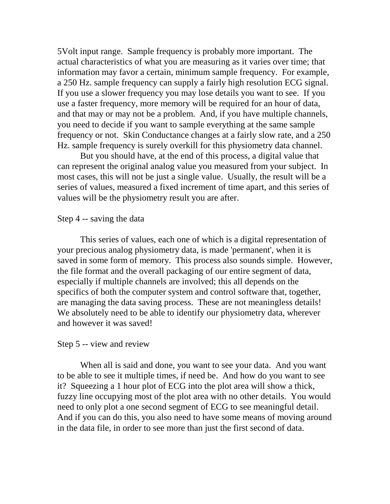5Volt input range. Sample frequency is probably more important. The actual characteristics of what you are measuring as it varies over time; that information may favor a certain, minimum sample frequency. For example, a 250 Hz. sample frequency can supply a fairly high resolution ECG signal. If you use a slower frequency you may lose details you want to see. If you use a faster frequency, more memory will be required for an hour of data, and that may or may not be a problem. And, if you have multiple channels, you need to decide if you want to sample everything at the same sample frequency or not. Skin Conductance changes at a fairly slow rate, and a 250 Hz. sample frequency is surely overkill for this physiometry data channel.

But you should have, at the end of this process, a digital value that can represent the original analog value you measured from your subject. In most cases, this will not be just a single value. Usually, the result will be a series of values, measured a fixed increment of time apart, and this series of values will be the physiometry result you are after.

#### Step 4 -- saving the data

This series of values, each one of which is a digital representation of your precious analog physiometry data, is made 'permanent', when it is saved in some form of memory. This process also sounds simple. However, the file format and the overall packaging of our entire segment of data, especially if multiple channels are involved; this all depends on the specifics of both the computer system and control software that, together, are managing the data saving process. These are not meaningless details! We absolutely need to be able to identify our physiometry data, wherever and however it was saved!

#### Step 5 -- view and review

When all is said and done, you want to see your data. And you want to be able to see it multiple times, if need be. And how do you want to see it? Squeezing a 1 hour plot of ECG into the plot area will show a thick, fuzzy line occupying most of the plot area with no other details. You would need to only plot a one second segment of ECG to see meaningful detail. And if you can do this, you also need to have some means of moving around in the data file, in order to see more than just the first second of data.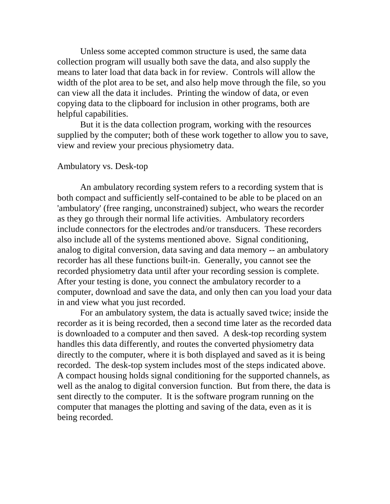Unless some accepted common structure is used, the same data collection program will usually both save the data, and also supply the means to later load that data back in for review. Controls will allow the width of the plot area to be set, and also help move through the file, so you can view all the data it includes. Printing the window of data, or even copying data to the clipboard for inclusion in other programs, both are helpful capabilities.

But it is the data collection program, working with the resources supplied by the computer; both of these work together to allow you to save, view and review your precious physiometry data.

#### Ambulatory vs. Desk-top

An ambulatory recording system refers to a recording system that is both compact and sufficiently self-contained to be able to be placed on an 'ambulatory' (free ranging, unconstrained) subject, who wears the recorder as they go through their normal life activities. Ambulatory recorders include connectors for the electrodes and/or transducers. These recorders also include all of the systems mentioned above. Signal conditioning, analog to digital conversion, data saving and data memory -- an ambulatory recorder has all these functions built-in. Generally, you cannot see the recorded physiometry data until after your recording session is complete. After your testing is done, you connect the ambulatory recorder to a computer, download and save the data, and only then can you load your data in and view what you just recorded.

For an ambulatory system, the data is actually saved twice; inside the recorder as it is being recorded, then a second time later as the recorded data is downloaded to a computer and then saved. A desk-top recording system handles this data differently, and routes the converted physiometry data directly to the computer, where it is both displayed and saved as it is being recorded. The desk-top system includes most of the steps indicated above. A compact housing holds signal conditioning for the supported channels, as well as the analog to digital conversion function. But from there, the data is sent directly to the computer. It is the software program running on the computer that manages the plotting and saving of the data, even as it is being recorded.